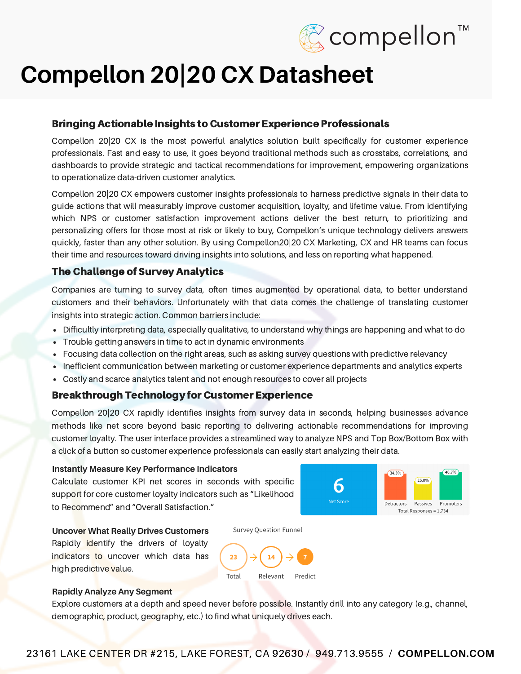

# **Compellon 20|20 CX Datasheet**

## Bringing Actionable Insights to Customer Experience Professionals

Compellon 20|20 CX is the most powerful analytics solution built specifically for customer experience professionals. Fast and easy to use, it goes beyond traditional methods such as crosstabs, correlations, and dashboards to provide strategic and tactical recommendations for improvement, empowering organizations to operationalize data-driven customer analytics.

Compellon 20|20 CX empowers customer insights professionals to harness predictive signals in their data to guide actions that will measurably improve customer acquisition, loyalty, and lifetime value. From identifying which NPS or customer satisfaction improvement actions deliver the best return, to prioritizing and personalizing offers for those most at risk or likely to buy, Compellon's unique technology delivers answers quickly, faster than any other solution. By using Compellon20|20 CX Marketing, CX and HR teams can focus their time and resources toward driving insights into solutions, and less on reporting what happened.

# The Challenge of Survey Analytics

Companies are turning to survey data, often times augmented by operational data, to better understand customers and their behaviors. Unfortunately with that data comes the challenge of translating customer insights into strategic action. Common barriers include:

- Difficultly interpreting data, especially qualitative, to understand why things are happening and what to do
- Trouble getting answers in time to act in dynamic environments
- Focusing data collection on the right areas, such as asking survey questions with predictive relevancy
- Inefficient communication between marketing or customer experience departments and analytics experts
- Costly and scarce analytics talent and not enough resources to cover all projects

### Breakthrough Technology for Customer Experience

Compellon 20|20 CX rapidly identifies insights from survey data in seconds, helping businesses advance methods like net score beyond basic reporting to delivering actionable recommendations for improving customer loyalty. The user interface provides a streamlined way to analyze NPS and Top Box/Bottom Box with a click of a button so customer experience professionals can easily start analyzing their data.

#### **Instantly Measure Key Performance Indicators**

Calculate customer KPI net scores in seconds with specific support for core customer loyalty indicators such as "Likelihood to Recommend" and "Overall Satisfaction."



Rapidly identify the drivers of loyalty indicators to uncover which data has high predictive value.



**Survey Question Funnel** 

#### **Rapidly Analyze Any Segment**

Explore customers at a depth and speed never before possible. Instantly drill into any category (e.g., channel, demographic, product, geography, etc.) to find what uniquely drives each.